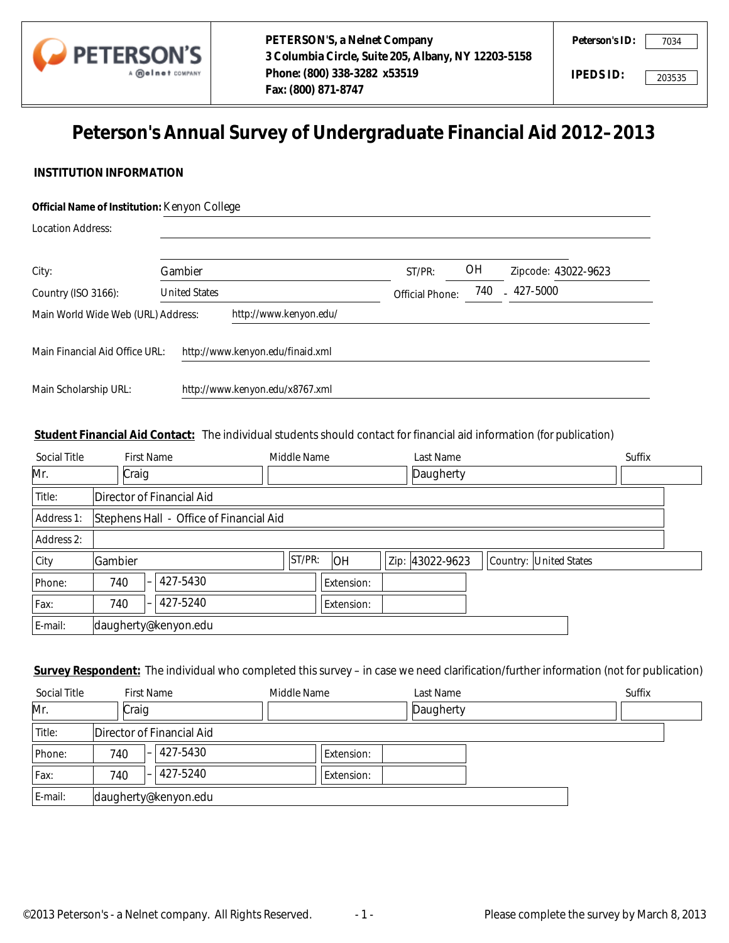

7034

# **Peterson's Annual Survey of Undergraduate Financial Aid 2012–2013**

# **INSTITUTION INFORMATION**

# **Official Name of Institution:** Kenyon College

| <b>Location Address:</b>           |  |                        |                                  |                 |           |                     |
|------------------------------------|--|------------------------|----------------------------------|-----------------|-----------|---------------------|
| City:                              |  | Gambier                |                                  | ST/PR:          | <b>OH</b> | Zipcode: 43022-9623 |
| Country (ISO 3166):                |  | <b>United States</b>   |                                  | Official Phone: | 740       | $-427-5000$         |
| Main World Wide Web (URL) Address: |  | http://www.kenyon.edu/ |                                  |                 |           |                     |
| Main Financial Aid Office URL:     |  |                        | http://www.kenyon.edu/finaid.xml |                 |           |                     |
| Main Scholarship URL:              |  |                        | http://www.kenyon.edu/x8767.xml  |                 |           |                     |

# **Student Financial Aid Contact:** The individual students should contact for financial aid information (*for publication*)

|                       | Main Financial Aid Office URL: | http://www.kenyon.edu/finaid.xml                                                                                                      |             |            |      |            |                        |        |                        |
|-----------------------|--------------------------------|---------------------------------------------------------------------------------------------------------------------------------------|-------------|------------|------|------------|------------------------|--------|------------------------|
| Main Scholarship URL: |                                | http://www.kenyon.edu/x8767.xml                                                                                                       |             |            |      |            |                        |        |                        |
|                       |                                | Student Financial Aid Contact: The individual students should contact for financial aid information (for publication)                 |             |            |      |            |                        |        |                        |
| <b>Social Title</b>   | <b>First Name</b>              |                                                                                                                                       | Middle Name |            |      | Last Name  |                        | Suffix |                        |
| Mr.                   | Craig                          |                                                                                                                                       |             |            |      | Daugherty  |                        |        | $\boxed{\blacksquare}$ |
| Title:                | Director of Financial Aid      |                                                                                                                                       |             |            |      |            |                        |        |                        |
| Address 1:            |                                | Stephens Hall - Office of Financial Aid                                                                                               |             |            |      |            |                        |        |                        |
| Address 2:            |                                |                                                                                                                                       |             |            |      |            |                        |        |                        |
| City                  | Gambier                        |                                                                                                                                       | ST/PR:      | OH         | Zip: | 43022-9623 | Country: United States |        |                        |
| Phone:                | 740                            | 427-5430                                                                                                                              |             | Extension: |      |            |                        |        |                        |
| Fax:                  | 740                            | 427-5240                                                                                                                              |             | Extension: |      |            |                        |        |                        |
| E-mail:               | daugherty@kenyon.edu           |                                                                                                                                       |             |            |      |            |                        |        |                        |
|                       |                                | Survey Respondent: The individual who completed this survey - in case we need clarification/further information (not for publication) |             |            |      |            |                        |        |                        |
| <b>Social Title</b>   | <b>First Name</b>              |                                                                                                                                       | Middle Name |            |      | Last Name  |                        | Suffix |                        |
| Mr.                   | Craig                          |                                                                                                                                       |             |            |      | Daugherty  |                        |        | $\Box$                 |
| Title:                | Director of Financial Aid      |                                                                                                                                       |             |            |      |            |                        |        |                        |
| Phone:                | 740                            | 427-5430                                                                                                                              |             | Extension: |      |            |                        |        |                        |
| Fax:                  | 740                            | 427-5240                                                                                                                              |             | Extension: |      |            |                        |        |                        |
| E-mail:               | daugherty@kenyon.edu           |                                                                                                                                       |             |            |      |            |                        |        |                        |

| Social Title |       | <b>First Name</b>                    | Middle Name | Last Name | Suffix                   |
|--------------|-------|--------------------------------------|-------------|-----------|--------------------------|
| Mr.          | Craig |                                      |             | Daugherty | $\overline{\phantom{0}}$ |
| Title:       |       | Director of Financial Aid            |             |           |                          |
| Phone:       | 740   | 427-5430<br>$\overline{\phantom{0}}$ | Extension:  |           |                          |
| Fax:         | 740   | 427-5240<br>$\overline{\phantom{0}}$ | Extension:  |           |                          |
| E-mail:      |       | daugherty@kenyon.edu                 |             |           |                          |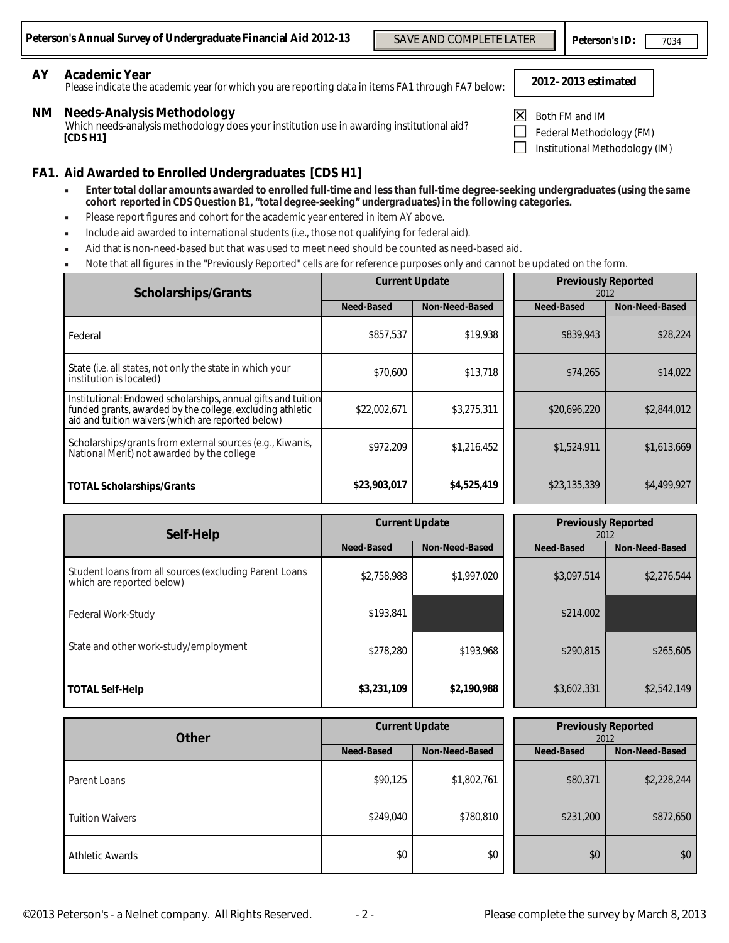# **AY Academic Year**

# **NM Needs-Analysis Methodology**

#### **FA1. Aid Awarded to Enrolled Undergraduates [CDS H1]** Enter total dollar amounts *awarded* to enrolled full-time and less than full-time degree-seeking undergraduates (*using the same*

- *cohort reported in CDS Question B1, "total degree-seeking" undergraduates***) in the following categories.**
- Please report figures and cohort for the academic year entered in item AY above.
- Include aid awarded to international students (i.e., those not qualifying for federal aid).
- Aid that is non-need-based but that was used to meet need should be counted as need-based aid.
- Note that all figures in the "Previously Reported" cells are for reference purposes only and cannot be updated on the form.

| n's Annual Survey of Undergraduate Financial Aid 2012-13                                                                                                                                                                                                                                                                                |                   |       | <b>SAVE AND COMPLETE LATER</b> |                |                                                                              | <b>Peterson's ID:</b> | 7034                  |
|-----------------------------------------------------------------------------------------------------------------------------------------------------------------------------------------------------------------------------------------------------------------------------------------------------------------------------------------|-------------------|-------|--------------------------------|----------------|------------------------------------------------------------------------------|-----------------------|-----------------------|
| <b>Academic Year</b><br>Please indicate the academic year for which you are reporting data in items FA1 through FA7 below:                                                                                                                                                                                                              |                   |       |                                |                | 2012-2013 estimated                                                          |                       |                       |
| <b>Needs-Analysis Methodology</b><br>Which needs-analysis methodology does your institution use in awarding institutional aid?<br>[CDS H1]                                                                                                                                                                                              |                   |       |                                | $ \mathsf{X} $ | Both FM and IM<br>Federal Methodology (FM)<br>Institutional Methodology (IM) |                       |                       |
| Aid Awarded to Enrolled Undergraduates [CDS H1]                                                                                                                                                                                                                                                                                         |                   |       |                                |                |                                                                              |                       |                       |
| Enter total dollar amounts awarded to enrolled full-time and less than full-time degree-seeking undergraduates (using the same<br>×<br>cohort reported in CDS Question B1, "total degree-seeking" undergraduates) in the following categories.<br>Please report figures and cohort for the academic year entered in item AY above.<br>٠ |                   |       |                                |                |                                                                              |                       |                       |
| Include aid awarded to international students (i.e., those not qualifying for federal aid).<br>٠                                                                                                                                                                                                                                        |                   |       |                                |                |                                                                              |                       |                       |
| Aid that is non-need-based but that was used to meet need should be counted as need-based aid.<br>×<br>Note that all figures in the "Previously Reported" cells are for reference purposes only and cannot be updated on the form.                                                                                                      |                   |       |                                |                |                                                                              |                       |                       |
|                                                                                                                                                                                                                                                                                                                                         |                   |       | <b>Current Update</b>          |                | <b>Previously Reported</b>                                                   |                       |                       |
| <b>Scholarships/Grants</b>                                                                                                                                                                                                                                                                                                              | <b>Need-Based</b> |       | <b>Non-Need-Based</b>          |                | <b>Need-Based</b>                                                            | 2012                  | <b>Non-Need-Based</b> |
| Federal                                                                                                                                                                                                                                                                                                                                 | \$857,537         |       | \$19,938                       |                | \$839,943                                                                    |                       | \$28,224              |
| State (i.e. all states, not only the state in which your<br>institution is located)                                                                                                                                                                                                                                                     | \$70,600          |       | \$13,718                       |                | \$74,265                                                                     |                       | \$14.022              |
| Institutional: Endowed scholarships, annual gifts and tuition<br>funded grants, awarded by the college, excluding athletic<br>aid and tuition waivers (which are reported below)                                                                                                                                                        | \$22,002,671      |       | \$3,275,311                    |                | \$20,696,220                                                                 |                       | \$2,844,012           |
| Scholarships/grants from external sources (e.g., Kiwanis,<br>National Merit) not awarded by the college                                                                                                                                                                                                                                 | \$972,209         |       | \$1,216,452                    |                | \$1,524,911                                                                  |                       | \$1,613,669           |
| <b>TOTAL Scholarships/Grants</b>                                                                                                                                                                                                                                                                                                        | \$23,903,017      |       | \$4,525,419                    |                | \$23,135,339                                                                 |                       | \$4,499,927           |
|                                                                                                                                                                                                                                                                                                                                         |                   |       | <b>Current Update</b>          |                | <b>Previously Reported</b>                                                   |                       |                       |
| Self-Help                                                                                                                                                                                                                                                                                                                               | <b>Need-Based</b> |       | <b>Non-Need-Based</b>          |                | Need-Based                                                                   | 2012                  | <b>Non-Need-Based</b> |
| Student Ioans from all sources (excluding Parent Loans<br>which are reported below)                                                                                                                                                                                                                                                     | \$2,758,988       |       | \$1,997,020                    |                | \$3,097,514                                                                  |                       | \$2,276,544           |
| Federal Work-Study                                                                                                                                                                                                                                                                                                                      | \$193,841         |       |                                |                | \$214.002                                                                    |                       |                       |
| State and other work-study/employment                                                                                                                                                                                                                                                                                                   | \$278,280         |       | \$193,968                      |                | \$290,815                                                                    |                       | \$265,605             |
| <b>TOTAL Self-Help</b>                                                                                                                                                                                                                                                                                                                  | \$3,231,109       |       | \$2,190,988                    |                | \$3,602,331                                                                  |                       | \$2,542,149           |
| <b>Other</b>                                                                                                                                                                                                                                                                                                                            |                   |       | <b>Current Update</b>          |                | <b>Previously Reported</b>                                                   | 2012                  |                       |
|                                                                                                                                                                                                                                                                                                                                         | <b>Need-Based</b> |       | Non-Need-Based                 |                | Need-Based                                                                   |                       | Non-Need-Based        |
| Parent Loans                                                                                                                                                                                                                                                                                                                            | \$90,125          |       | \$1,802,761                    |                | \$80,371                                                                     |                       | \$2,228,244           |
| <b>Tuition Waivers</b>                                                                                                                                                                                                                                                                                                                  | \$249,040         |       | \$780,810                      |                | \$231,200                                                                    |                       | \$872,650             |
| <b>Athletic Awards</b>                                                                                                                                                                                                                                                                                                                  |                   | \$0\$ | \$0\$                          |                | \$0\$                                                                        |                       | \$0\$                 |

| Self-Help                                                                           |                   | <b>Current Update</b> | <b>Previously Reported</b><br>2012 |                |  |
|-------------------------------------------------------------------------------------|-------------------|-----------------------|------------------------------------|----------------|--|
|                                                                                     | <b>Need-Based</b> | <b>Non-Need-Based</b> | Need-Based                         | Non-Need-Based |  |
| Student loans from all sources (excluding Parent Loans<br>which are reported below) | \$2,758,988       | \$1,997,020           | \$3,097,514                        | \$2,276,544    |  |
| <b>Federal Work-Study</b>                                                           | \$193,841         |                       | \$214,002                          |                |  |
| State and other work-study/employment                                               | \$278,280         | \$193.968             | \$290,815                          | \$265,605      |  |
| <b>TOTAL Self-Help</b>                                                              | \$3,231,109       | \$2,190,988           | \$3,602,331                        | \$2,542,149    |  |

| <b>Other</b>           | <b>Current Update</b> |                |  | <b>Previously Reported</b><br>2012 |                |  |
|------------------------|-----------------------|----------------|--|------------------------------------|----------------|--|
|                        | Need-Based            | Non-Need-Based |  | Need-Based                         | Non-Need-Based |  |
| Parent Loans           | \$90,125              | \$1,802,761    |  | \$80,371                           | \$2,228,244    |  |
| <b>Tuition Waivers</b> | \$249,040             | \$780,810      |  | \$231,200                          | \$872,650      |  |
| <b>Athletic Awards</b> | \$0                   | \$0            |  | \$0                                | \$0            |  |

 $-2-$ 

- 
- Both FM and IM
- Federal Methodology (FM)
- Institutional Methodology (IM)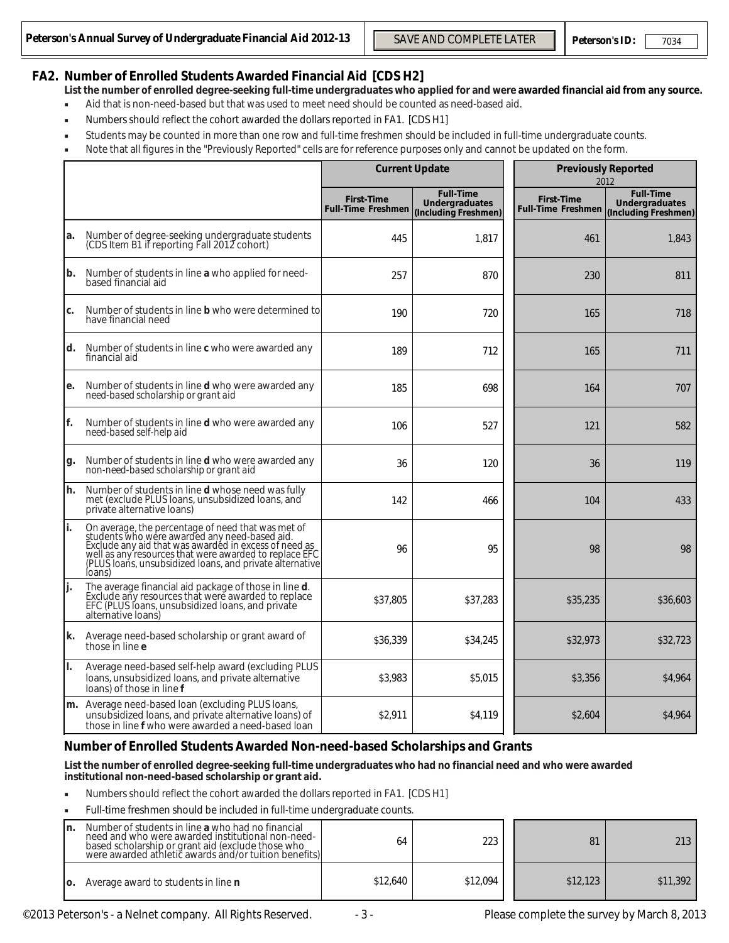# **FA2. Number of Enrolled Students Awarded Financial Aid [CDS H2]**

- **List the number of enrolled degree-seeking full-time undergraduates who applied for and were awarded financial aid from any source.**
- Aid that is non-need-based but that was used to meet need should be counted as need-based aid.
- Numbers should reflect the cohort awarded the dollars reported in FA1. [CDS H1]
- Students may be counted in more than one row and full-time freshmen should be included in full-time undergraduate counts.
- Note that all figures in the "Previously Reported" cells are for reference purposes only and cannot be updated on the form.

|        | n's Annual Survey of Undergraduate Financial Aid 2012-13                                                                                                                                                                                                                                                                                                                                                                                                                                                                                                                                                                                                 |                                                | <b>SAVE AND COMPLETE LATER</b>                                    | <b>Peterson's ID:</b>                          |      | 7034                                                              |
|--------|----------------------------------------------------------------------------------------------------------------------------------------------------------------------------------------------------------------------------------------------------------------------------------------------------------------------------------------------------------------------------------------------------------------------------------------------------------------------------------------------------------------------------------------------------------------------------------------------------------------------------------------------------------|------------------------------------------------|-------------------------------------------------------------------|------------------------------------------------|------|-------------------------------------------------------------------|
| ٠<br>٠ | <b>Number of Enrolled Students Awarded Financial Aid [CDS H2]</b><br>List the number of enrolled degree-seeking full-time undergraduates who applied for and were awarded financial aid from any source<br>Aid that is non-need-based but that was used to meet need should be counted as need-based aid.<br>Numbers should reflect the cohort awarded the dollars reported in FA1. [CDS H1]<br>Students may be counted in more than one row and full-time freshmen should be included in full-time undergraduate counts.<br>Note that all figures in the "Previously Reported" cells are for reference purposes only and cannot be updated on the form. |                                                |                                                                   |                                                |      |                                                                   |
|        |                                                                                                                                                                                                                                                                                                                                                                                                                                                                                                                                                                                                                                                          |                                                | <b>Current Update</b>                                             | <b>Previously Reported</b>                     | 2012 |                                                                   |
|        |                                                                                                                                                                                                                                                                                                                                                                                                                                                                                                                                                                                                                                                          | <b>First-Time</b><br><b>Full-Time Freshmen</b> | <b>Full-Time</b><br><b>Undergraduates</b><br>(Including Freshmen) | <b>First-Time</b><br><b>Full-Time Freshmen</b> |      | <b>Full-Time</b><br><b>Undergraduates</b><br>(Including Freshmen) |
| a.     | Number of degree-seeking undergraduate students<br>(CDS Item B1 if reporting Fall 2012 cohort)                                                                                                                                                                                                                                                                                                                                                                                                                                                                                                                                                           | 445                                            | 1,817                                                             | 461                                            |      | 1,843                                                             |
| b.     | Number of students in line a who applied for need-<br>based financial aid                                                                                                                                                                                                                                                                                                                                                                                                                                                                                                                                                                                | 257                                            | 870                                                               | 230                                            |      | 811                                                               |
| c.     | Number of students in line <b>b</b> who were determined to<br>have financial need                                                                                                                                                                                                                                                                                                                                                                                                                                                                                                                                                                        | 190                                            | 720                                                               | 165                                            |      | 718                                                               |
| ld.    | Number of students in line c who were awarded any<br>financial aid                                                                                                                                                                                                                                                                                                                                                                                                                                                                                                                                                                                       | 189                                            | 712                                                               | 165                                            |      | 711                                                               |
| e.     | Number of students in line <b>d</b> who were awarded any<br>need-based scholarship or grant aid                                                                                                                                                                                                                                                                                                                                                                                                                                                                                                                                                          | 185                                            | 698                                                               | 164                                            |      | 707                                                               |
| lf.    | Number of students in line d who were awarded any<br>need-based self-help aid                                                                                                                                                                                                                                                                                                                                                                                                                                                                                                                                                                            | 106                                            | 527                                                               | 121                                            |      | 582                                                               |
| g.     | Number of students in line d who were awarded any<br>non-need-based scholarship or grant aid                                                                                                                                                                                                                                                                                                                                                                                                                                                                                                                                                             | 36                                             | 120                                                               | 36                                             |      | 119                                                               |
| lh.    | Number of students in line d whose need was fully<br>net (exclude PLUS loans, unsubsidized loans, and<br>private alternative loans)                                                                                                                                                                                                                                                                                                                                                                                                                                                                                                                      | 142                                            | 466                                                               | 104                                            |      | 433                                                               |
| li.    | On average, the percentage of need that was met of<br>students who were awarded any need-based aid.<br>Exclude any aid that was awarded in excess of need as<br>well as any resources that were awarded to replace EFC<br>(PLUS loans, unsubsidized loans, and private alternative<br>loans)                                                                                                                                                                                                                                                                                                                                                             | 96                                             | 95                                                                | 98                                             |      | 98                                                                |
| J٠.    | The average financial aid package of those in line d.<br>Exclude any resources that were awarded to replace<br>EFC (PLUS loans, unsubsidized loans, and private<br>alternative loans)                                                                                                                                                                                                                                                                                                                                                                                                                                                                    | \$37,805                                       | \$37,283                                                          | \$35,235                                       |      | \$36,603                                                          |
| lk.    | Average need-based scholarship or grant award of<br>those in line e                                                                                                                                                                                                                                                                                                                                                                                                                                                                                                                                                                                      | \$36,339                                       | \$34,245                                                          | \$32,973                                       |      | \$32,723                                                          |
| II.    | Average need-based self-help award (excluding PLUS<br>loans, unsubsidized loans, and private alternative<br>loans) of those in line f                                                                                                                                                                                                                                                                                                                                                                                                                                                                                                                    | \$3.983                                        | \$5,015                                                           | \$3,356                                        |      | \$4,964                                                           |
|        | m. Average need-based loan (excluding PLUS loans,<br>unsubsidized loans, and private alternative loans) of<br>those in line f who were awarded a need-based loan                                                                                                                                                                                                                                                                                                                                                                                                                                                                                         | \$2,911                                        | \$4,119                                                           | \$2,604                                        |      | \$4,964                                                           |
|        | Number of Enrolled Students Awarded Non-need-based Scholarships and Grants                                                                                                                                                                                                                                                                                                                                                                                                                                                                                                                                                                               |                                                |                                                                   |                                                |      |                                                                   |
|        | List the number of enrolled degree-seeking full-time undergraduates who had no financial need and who were awarded<br>institutional non-need-based scholarship or grant aid.                                                                                                                                                                                                                                                                                                                                                                                                                                                                             |                                                |                                                                   |                                                |      |                                                                   |
| ٠      | Numbers should reflect the cohort awarded the dollars reported in FA1. [CDS H1]                                                                                                                                                                                                                                                                                                                                                                                                                                                                                                                                                                          |                                                |                                                                   |                                                |      |                                                                   |
|        | Full-time freshmen should be included in full-time undergraduate counts.                                                                                                                                                                                                                                                                                                                                                                                                                                                                                                                                                                                 |                                                |                                                                   |                                                |      |                                                                   |
| In.    | Number of students in line a who had no financial<br>need and who were awarded institutional non-need-<br>based scholarship or grant aid (exclude those who<br>were awarded athletic awards and/or tuition benefits)                                                                                                                                                                                                                                                                                                                                                                                                                                     | 64                                             | 223                                                               | 81                                             |      | 213                                                               |
| IO.    | Average award to students in line n                                                                                                                                                                                                                                                                                                                                                                                                                                                                                                                                                                                                                      | \$12,640                                       | \$12,094                                                          | \$12,123                                       |      | \$11,392                                                          |

#### **Number of Enrolled Students Awarded Non-need-based Scholarships and Grants**

- Numbers should reflect the cohort awarded the dollars reported in FA1. [CDS H1]
- Full-time freshmen should be included in full-time undergraduate counts.

| Number of students in line a who had no financial<br>In.<br>need and who were awarded institutional non-need-<br>based scholarship or grant aid (exclude those who<br>were awarded athletic awards and/or tuition benefits) | 64       | 223      | 81       | 213      |
|-----------------------------------------------------------------------------------------------------------------------------------------------------------------------------------------------------------------------------|----------|----------|----------|----------|
| Average award to students in line <b>n</b><br>IO.                                                                                                                                                                           | \$12.640 | \$12.094 | \$12.123 | \$11.392 |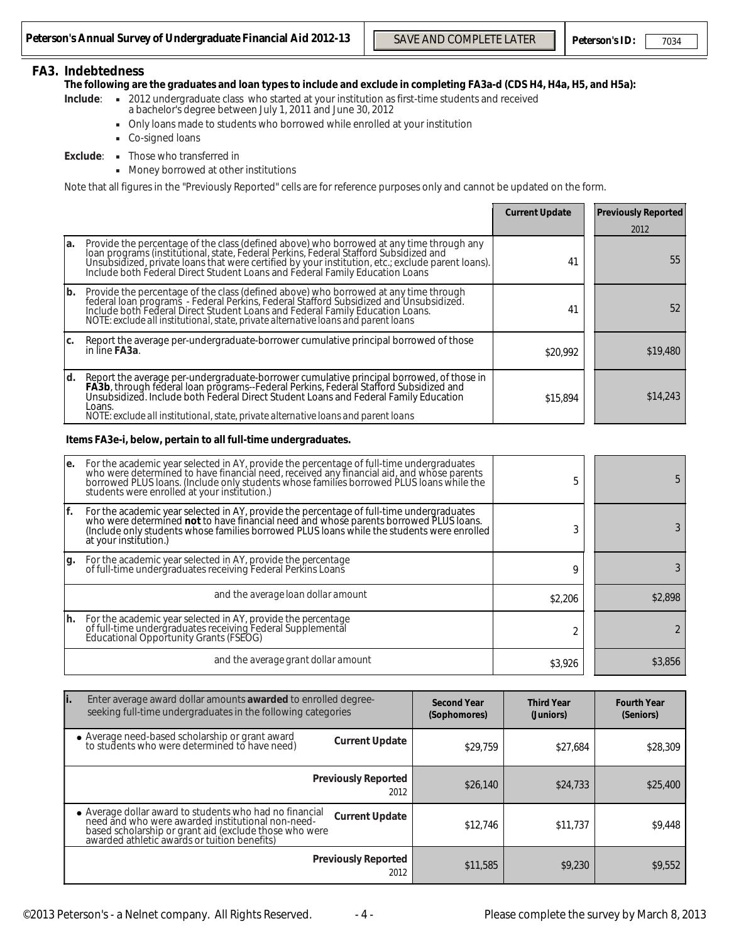#### 7034

#### **FA3. Indebtedness**

- **Include**: 2012 undergraduate class who started at your institution as first-time students and received a bachelor's degree between July 1, 2011 and June 30, 2012
	- Only loans made to students who borrowed while enrolled at your institution
	- Co-signed loans
- **Exclude**: Those who transferred in
	- Money borrowed at other institutions

|     |                                                                                                                                                                                                                                                                                                                                      | <b>Current Update</b> | <b>Previously Reported</b> |
|-----|--------------------------------------------------------------------------------------------------------------------------------------------------------------------------------------------------------------------------------------------------------------------------------------------------------------------------------------|-----------------------|----------------------------|
|     |                                                                                                                                                                                                                                                                                                                                      |                       | 2012                       |
| la. | Provide the percentage of the class (defined above) who borrowed at any time through any<br>Fourney of institutional, state, Federal Perkins, Federal Stafford Subsidized and<br>Unsubsidized, private loans that were certified by your institution, etc.; exclude parent loans).<br>Include both Federal Direct Student Loans      | 41                    | 55                         |
| lb. | Provide the percentage of the class (defined above) who borrowed at any time through<br>Federal Dan programs - Federal Perkins, Federal Stafford Subsidized and Unsubsidized.<br>Include both Federal Direct Student Loans and Federal Family Education Loans.<br>NOTE: exclude all institutional, state, private alternativ         | 41                    | 52                         |
| Ic. | Report the average per-undergraduate-borrower cumulative principal borrowed of those<br>in line FA3a.                                                                                                                                                                                                                                | \$20.992              | \$19,480                   |
| ld. | Report the average per-undergraduate-borrower cumulative principal borrowed, of those in<br>FA3b, through federal loan programs--Federal Perkins, Federal Stafford Subsidized and<br>Unsubsidized. Include both Federal Direct Stude<br>Loans.<br>NOTE: exclude all institutional, state, private alternative loans and parent loans | \$15.894              | \$14,243                   |

#### **Items FA3e-i, below, pertain to all full-time undergraduates.**

|               | n's Annual Survey of Undergraduate Financial Aid 2012-13                                                                                                                                                                                                                                                                                                                                                                                                                                                      |                       | <b>SAVE AND COMPLETE LATER</b>     |                                |          | Peterson's ID:                     | 7034             |
|---------------|---------------------------------------------------------------------------------------------------------------------------------------------------------------------------------------------------------------------------------------------------------------------------------------------------------------------------------------------------------------------------------------------------------------------------------------------------------------------------------------------------------------|-----------------------|------------------------------------|--------------------------------|----------|------------------------------------|------------------|
|               | <b>Indebtedness</b><br>The following are the graduates and loan types to include and exclude in completing FA3a-d (CDS H4, H4a, H5, and H5a):<br>- 2012 undergraduate class who started at your institution as first-time students and received<br>Include:<br>a bachelor's degree between July 1, 2011 and June 30, 2012<br>Only loans made to students who borrowed while enrolled at your institution<br>Co-signed loans<br>• Those who transferred in<br>Exclude:<br>Money borrowed at other institutions |                       |                                    |                                |          |                                    |                  |
|               | Note that all figures in the "Previously Reported" cells are for reference purposes only and cannot be updated on the form.                                                                                                                                                                                                                                                                                                                                                                                   |                       |                                    |                                |          |                                    |                  |
|               |                                                                                                                                                                                                                                                                                                                                                                                                                                                                                                               |                       |                                    | <b>Current Update</b>          |          | <b>Previously Reported</b><br>2012 |                  |
| a.            | Provide the percentage of the class (defined above) who borrowed at any time through any<br>To an programs (institutional, state, Federal Perkins, Federal Stafford Subsidized and<br>Unsubsidized, private loans that were certified by your institution, etc.; exclude parent loans).<br>Include both Federal Direct Student L                                                                                                                                                                              |                       |                                    |                                | 41       |                                    | 55               |
| $\mathbf b$ . | Provide the percentage of the class (defined above) who borrowed at any time through<br>Federal Ioan programs - Federal Perkins, Federal Stafford Subsidized and Unsubsidized.<br>Include both Federal Direct Student Loans and Federal Family Education Loans.<br>NOTE: exclude all institutional, state, private alternative loans and parent loans                                                                                                                                                         |                       |                                    |                                | 41       |                                    | 52               |
| c.            | Report the average per-undergraduate-borrower cumulative principal borrowed of those<br>in line FA3a.                                                                                                                                                                                                                                                                                                                                                                                                         |                       |                                    | \$20,992                       |          |                                    | \$19,480         |
| d.            | Report the average per-undergraduate-borrower cumulative principal borrowed, of those in<br>FA3b, through federal loan programs--Federal Perkins, Federal Stafford Subsidized and<br>Unsubsidized. Include both Federal Direct Student Loans and Federal Family Education<br>Loans.<br>NOTE: exclude all institutional, state, private alternative loans and parent loans                                                                                                                                     |                       |                                    |                                | \$15,894 |                                    | \$14,243         |
|               | Items FA3e-i, below, pertain to all full-time undergraduates.                                                                                                                                                                                                                                                                                                                                                                                                                                                 |                       |                                    |                                |          |                                    |                  |
| e.            | For the academic year selected in AY, provide the percentage of full-time undergraduates<br>who were determined to have financial need, received any financial aid, and whose parents<br>borrowed PLUS loans. (Include only students whose families borrowed PLUS loans while the<br>students were enrolled at your institution.)                                                                                                                                                                             |                       |                                    |                                | 5        |                                    | 5                |
| f.            | For the academic year selected in AY, provide the percentage of full-time undergraduates<br>who were determined not to have financial need and whose parents borrowed PLUS loans.<br>(Include only students whose families borrowed PLUS loans while the students were enrolled<br>at your institution.)                                                                                                                                                                                                      |                       |                                    |                                | 3        |                                    | 3                |
| g.            | For the academic year selected in AY, provide the percentage<br>of full-time undergraduates receiving Federal Perkins Loans                                                                                                                                                                                                                                                                                                                                                                                   |                       |                                    |                                | 9        |                                    | 3                |
|               | and the average loan dollar amount                                                                                                                                                                                                                                                                                                                                                                                                                                                                            |                       |                                    |                                | \$2,206  |                                    | \$2,898          |
| h.            | For the academic year selected in AY, provide the percentage<br>of full-time undergraduates receiving Federal Supplemental<br>Educational Opportunity Grants (FSEOG)                                                                                                                                                                                                                                                                                                                                          |                       |                                    |                                | 2        |                                    | $\boldsymbol{2}$ |
|               | and the average grant dollar amount                                                                                                                                                                                                                                                                                                                                                                                                                                                                           |                       |                                    |                                | \$3,926  |                                    | \$3,856          |
| li.           | Enter average award dollar amounts awarded to enrolled degree-                                                                                                                                                                                                                                                                                                                                                                                                                                                |                       |                                    |                                |          |                                    |                  |
|               | seeking full-time undergraduates in the following categories                                                                                                                                                                                                                                                                                                                                                                                                                                                  |                       | <b>Second Year</b><br>(Sophomores) | <b>Third Year</b><br>(Juniors) |          | <b>Fourth Year</b><br>(Seniors)    |                  |
|               | • Average need-based scholarship or grant award<br>to students who were determined to have need)                                                                                                                                                                                                                                                                                                                                                                                                              | <b>Current Update</b> | \$29,759                           |                                | \$27,684 |                                    | \$28,309         |
|               | <b>Previously Reported</b>                                                                                                                                                                                                                                                                                                                                                                                                                                                                                    | 2012                  | \$26,140                           |                                | \$24,733 |                                    | \$25,400         |
|               | • Average dollar award to students who had no financial<br>need and who were awarded institutional non-need-<br>based scholarship or grant aid (exclude those who were<br>awarded athletic awards or tuition benefits)                                                                                                                                                                                                                                                                                        | <b>Current Update</b> | \$12,746                           |                                | \$11,737 |                                    | \$9,448          |
|               | <b>Previously Reported</b>                                                                                                                                                                                                                                                                                                                                                                                                                                                                                    | 2012                  | \$11,585                           |                                | \$9,230  |                                    | \$9,552          |

| İ.<br>Enter average award dollar amounts awarded to enrolled degree-<br>seeking full-time undergraduates in the following categories                                                                                                         | <b>Second Year</b><br>(Sophomores) | <b>Third Year</b><br>(Juniors) | <b>Fourth Year</b><br>(Seniors) |
|----------------------------------------------------------------------------------------------------------------------------------------------------------------------------------------------------------------------------------------------|------------------------------------|--------------------------------|---------------------------------|
| • Average need-based scholarship or grant award<br>to students who were determined to have need)<br><b>Current Update</b>                                                                                                                    | \$29.759                           | \$27.684                       | \$28,309                        |
| <b>Previously Reported</b><br>2012                                                                                                                                                                                                           | \$26,140                           | \$24,733                       | \$25,400                        |
| • Average dollar award to students who had no financial<br>need and who were awarded institutional non-need-<br><b>Current Update</b><br>based scholarship or grant aid (exclude those who were awarded athletic awards or tuition benefits) | \$12.746                           | \$11.737                       | \$9,448                         |
| <b>Previously Reported</b><br>2012                                                                                                                                                                                                           | \$11,585                           | \$9,230                        | \$9,552                         |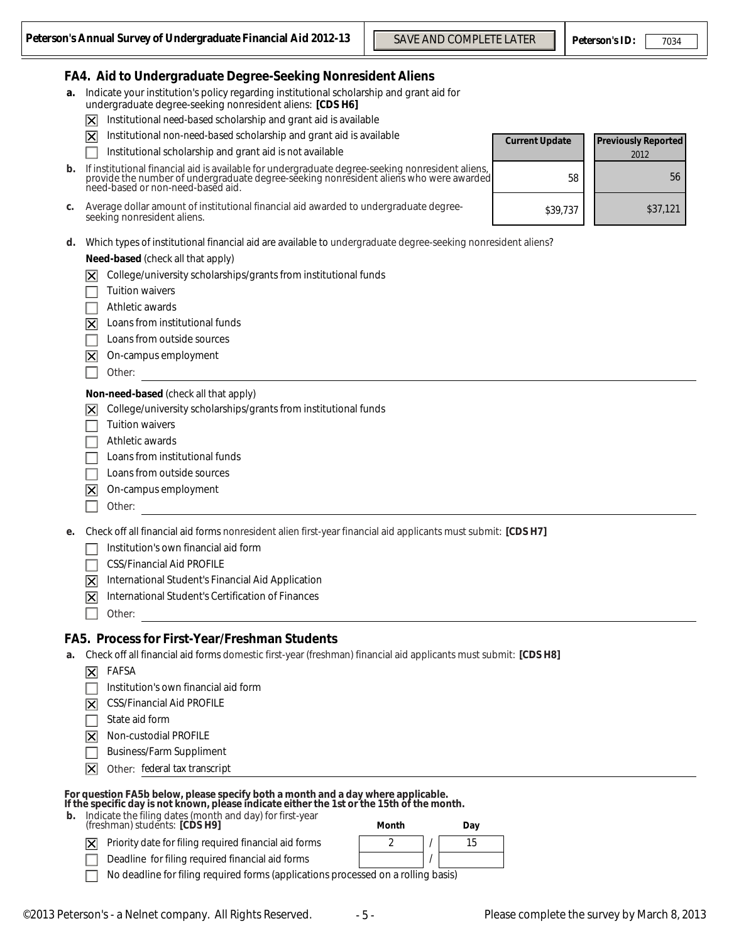### **FA4. Aid to Undergraduate Degree-Seeking Nonresident Aliens**

- **a.** Indicate your institution's policy regarding institutional scholarship and grant aid for undergraduate degree-seeking nonresident aliens: **[CDS H6]**
	- Institutional *need-based* scholarship and grant aid is available 冈
	- 冈 Institutional *non-need-based* scholarship and grant aid is available
		- Institutional scholarship and grant aid is *not* available

| <b>b.</b> If institutional financial aid is available for undergraduate degree-seeking nonresident aliens,                  |
|-----------------------------------------------------------------------------------------------------------------------------|
| provide the number of undergraduate degree-seeking nonresident aliens who were awarded<br>heed-based or non-need-based aid. |
|                                                                                                                             |

- **c.** Average dollar amount of institutional financial aid awarded to undergraduate degreeseeking nonresident aliens.
- **d.** Which types of institutional financial aid are available to undergraduate degree-seeking nonresident aliens?

**Need-based** (check all that apply)

- $\overline{X}$  College/university scholarships/grants from institutional funds
- Tuition waivers
- Athletic awards
- $|\mathbf{\nabla}|$  Loans from institutional funds
- Loans from outside sources
- $\overline{X}$  On-campus employment
- Other:

#### **Non-need-based** (check all that apply)

College/university scholarships/grants from institutional funds  $|\mathsf{x}|$ 

- Tuition waivers
- Athletic awards
- Loans from institutional funds
- Loans from outside sources
- 冈 On-campus employment
- Other:
- **e.** Check off all financial aid forms nonresident alien first-year financial aid applicants must submit: **[CDS H7]**
	- Institution's own financial aid form
	- CSS/Financial Aid PROFILE
	- 冈 International Student's Financial Aid Application
	- 冈 International Student's Certification of Finances
		- Other:

#### **FA5. Process for First-Year/Freshman Students**

- **a.** Check off all financial aid forms domestic first-year (freshman) financial aid applicants must submit: **[CDS H8]**
	- $\nabla$  FAFSA
	- Institution's own financial aid form
	- $|\overline{\mathbf{X}}|$  CSS/Financial Aid PROFILE
	- State aid form  $\Box$
	- Non-custodial PROFILE  $\boxtimes$
	- Business/Farm Suppliment
	- 冈 Other: federal tax transcript

#### **For question FA5b below, please specify both a month and a day where applicable. If the specific day is not known, please indicate either the 1st or the 15th of the month.**

 **b.** Indicate the filing dates (month and day) for first-year (freshman) students: **[CDS H9] Month Day**

Priority date for filing required financial aid forms  $|\overline{\mathsf{x}}|$ Deadline for filing required financial aid forms /



No deadline for filing required forms (applications processed on a rolling basis)

| ey of Undergraduate Financial Aid 2012-13                                                                                                                                                  | <b>SAVE AND COMPLETE LATER</b> |                       | <b>Peterson's ID:</b>      | 7034     |
|--------------------------------------------------------------------------------------------------------------------------------------------------------------------------------------------|--------------------------------|-----------------------|----------------------------|----------|
| Indergraduate Degree-Seeking Nonresident Aliens                                                                                                                                            |                                |                       |                            |          |
| r institution's policy regarding institutional scholarship and grant aid for<br>ate degree-seeking nonresident aliens: [CDS H6]                                                            |                                |                       |                            |          |
| onal need-based scholarship and grant aid is available                                                                                                                                     |                                |                       |                            |          |
| onal non-need-based scholarship and grant aid is available                                                                                                                                 |                                | <b>Current Update</b> | <b>Previously Reported</b> |          |
| onal scholarship and grant aid is not available                                                                                                                                            |                                |                       | 2012                       |          |
| Il financial aid is available for undergraduate degree-seeking nonresident aliens,<br>number of undergraduate degree-seeking nonresident aliens who were awarded<br>pr non-need-based aid. |                                |                       | 58                         | 56       |
| ar amount of institutional financial aid awarded to undergraduate degree-<br>esident aliens.                                                                                               |                                | \$39,737              |                            | \$37,121 |
| of institutional financial aid are available to undergraduate degree-seeking nonresident aliens?                                                                                           |                                |                       |                            |          |
| (check all that apply)                                                                                                                                                                     |                                |                       |                            |          |
| /university scholarships/grants from institutional funds                                                                                                                                   |                                |                       |                            |          |
| waivers                                                                                                                                                                                    |                                |                       |                            |          |
| awards                                                                                                                                                                                     |                                |                       |                            |          |
| om institutional funds                                                                                                                                                                     |                                |                       |                            |          |
| om outside sources                                                                                                                                                                         |                                |                       |                            |          |
| pus employment                                                                                                                                                                             |                                |                       |                            |          |
|                                                                                                                                                                                            |                                |                       |                            |          |
| ased (check all that apply)<br>/university scholarships/grants from institutional funds                                                                                                    |                                |                       |                            |          |
| waivers                                                                                                                                                                                    |                                |                       |                            |          |
| awards                                                                                                                                                                                     |                                |                       |                            |          |
| om institutional funds                                                                                                                                                                     |                                |                       |                            |          |
| om outside sources                                                                                                                                                                         |                                |                       |                            |          |
| pus employment                                                                                                                                                                             |                                |                       |                            |          |
|                                                                                                                                                                                            |                                |                       |                            |          |
| financial aid forms nonresident alien first-year financial aid applicants must submit: [CDS H7]                                                                                            |                                |                       |                            |          |
| on's own financial aid form                                                                                                                                                                |                                |                       |                            |          |
| ancial Aid PROFILE                                                                                                                                                                         |                                |                       |                            |          |
| ional Student's Financial Aid Application                                                                                                                                                  |                                |                       |                            |          |
| ional Student's Certification of Finances                                                                                                                                                  |                                |                       |                            |          |
| for First-Year/Freshman Students                                                                                                                                                           |                                |                       |                            |          |
| financial aid forms domestic first-year (freshman) financial aid applicants must submit: [CDS H8]                                                                                          |                                |                       |                            |          |
| on's own financial aid form                                                                                                                                                                |                                |                       |                            |          |
| ancial Aid PROFILE                                                                                                                                                                         |                                |                       |                            |          |
| d form                                                                                                                                                                                     |                                |                       |                            |          |
| stodial PROFILE                                                                                                                                                                            |                                |                       |                            |          |
| s/Farm Suppliment                                                                                                                                                                          |                                |                       |                            |          |
| federal tax transcript                                                                                                                                                                     |                                |                       |                            |          |
| ib below, please specify both a month and a day where applicable.<br>y is not known, please indicate either the 1st or the 15th of the month.                                              |                                |                       |                            |          |
| iling dates (month and day) for first-year<br>:udents: <b>[CDS H9]</b>                                                                                                                     | Month<br>Day                   |                       |                            |          |
| date for filing required financial aid forms                                                                                                                                               | 2<br>15                        |                       |                            |          |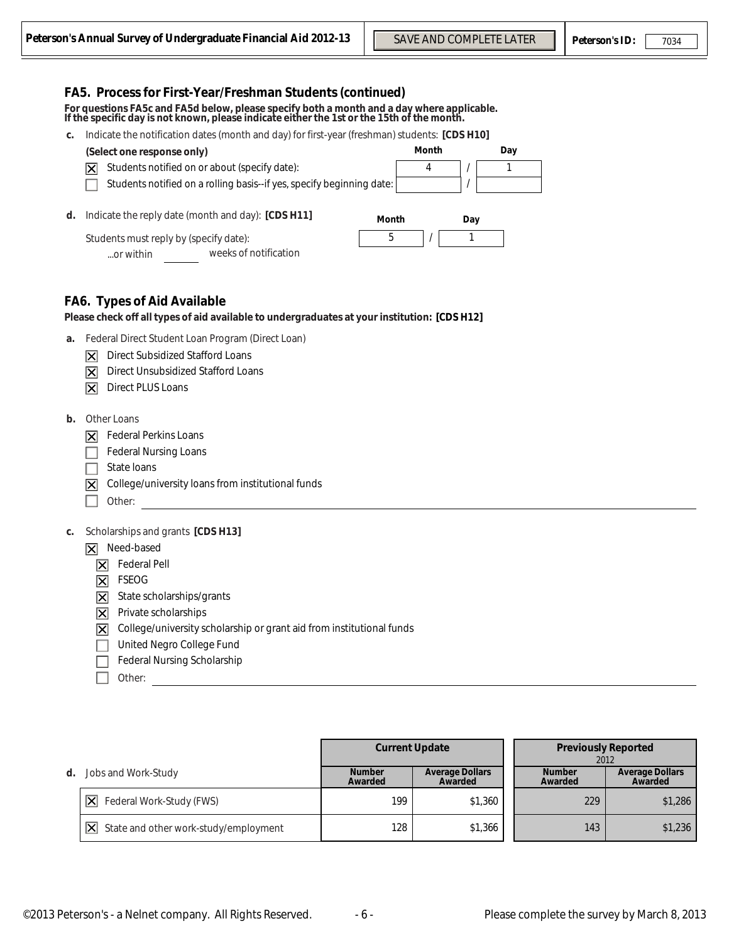|    | n's Annual Survey of Undergraduate Financial Aid 2012-13                                                                                                                                                                                                                                                                                                                                       |                          | <b>SAVE AND COMPLETE LATER</b>                            | <b>Peterson's ID:</b>      |      | 7034                              |
|----|------------------------------------------------------------------------------------------------------------------------------------------------------------------------------------------------------------------------------------------------------------------------------------------------------------------------------------------------------------------------------------------------|--------------------------|-----------------------------------------------------------|----------------------------|------|-----------------------------------|
| C. | FA5. Process for First-Year/Freshman Students (continued)<br>For questions FA5c and FA5d below, please specify both a month and a day where applicable.<br>If the specific day is not known, please indicate either the 1st or the 15th of the month.<br>Indicate the notification dates (month and day) for first-year (freshman) students: [CDS H10]                                         |                          |                                                           |                            |      |                                   |
|    | (Select one response only)<br>Students notified on or about (specify date):<br>ΙXΙ<br>Students notified on a rolling basis--if yes, specify beginning date:                                                                                                                                                                                                                                    |                          | Month<br>Day<br>4<br>$\mathbf{1}$<br>$\blacktriangledown$ | $\blacktriangledown$       |      |                                   |
| d. | Indicate the reply date (month and day): [CDS H11]<br>Students must reply by (specify date):<br>weeks of notification<br>or within                                                                                                                                                                                                                                                             | Month<br>5               | Day<br>1                                                  |                            |      |                                   |
|    | <b>FA6. Types of Aid Available</b><br>Please check off all types of aid available to undergraduates at your institution: [CDS H12]                                                                                                                                                                                                                                                             |                          |                                                           |                            |      |                                   |
| a. | Federal Direct Student Loan Program (Direct Loan)<br><b>Direct Subsidized Stafford Loans</b><br>$\vert\mathsf{X}\vert$<br>Direct Unsubsidized Stafford Loans<br>$\overline{\bm{\mathsf{x}}}$<br><b>Direct PLUS Loans</b><br>$\overline{\mathsf{x}}$                                                                                                                                            |                          |                                                           |                            |      |                                   |
| b. | Other Loans<br><b>Federal Perkins Loans</b><br>$\vert\mathsf{X}\vert$<br><b>Federal Nursing Loans</b><br>State loans<br>College/university loans from institutional funds<br>$\overline{\bm{\mathsf{x}}}$<br>Other:                                                                                                                                                                            |                          |                                                           |                            |      |                                   |
| c. | Scholarships and grants [CDS H13]<br>Need-based<br>ΙXΙ<br><b>Federal Pell</b><br>ΙXΙ<br><b>FSEOG</b><br>$\overline{\bm{\times}}$<br>State scholarships/grants<br>$\overline{\mathsf{x}}$<br>Private scholarships<br>$\overline{\mathsf{x}}$<br>College/university scholarship or grant aid from institutional funds<br>⊠<br>United Negro College Fund<br>Federal Nursing Scholarship<br>Other: |                          |                                                           |                            |      |                                   |
|    |                                                                                                                                                                                                                                                                                                                                                                                                |                          |                                                           |                            |      |                                   |
|    |                                                                                                                                                                                                                                                                                                                                                                                                | <b>Current Update</b>    |                                                           | <b>Previously Reported</b> | 2012 |                                   |
| d. | Jobs and Work-Study                                                                                                                                                                                                                                                                                                                                                                            | <b>Number</b><br>Awarded | <b>Average Dollars</b><br>Awarded                         | <b>Number</b><br>Awarded   |      | <b>Average Dollars</b><br>Awarded |
|    | Federal Work-Study (FWS)<br>$ \mathsf{x} $                                                                                                                                                                                                                                                                                                                                                     | 199                      | \$1,360                                                   | 229                        |      | \$1,286                           |
|    | State and other work-study/employment<br>$ \overline{\mathsf{x}} $                                                                                                                                                                                                                                                                                                                             | 128                      | \$1,366                                                   | 143                        |      | \$1,236                           |

|    |                                              | <b>Current Update</b>    |                                   |  | <b>Previously Reported</b><br>2012 |                                   |
|----|----------------------------------------------|--------------------------|-----------------------------------|--|------------------------------------|-----------------------------------|
| d. | Jobs and Work-Study                          | <b>Number</b><br>Awarded | <b>Average Dollars</b><br>Awarded |  | <b>Number</b><br>Awarded           | <b>Average Dollars</b><br>Awarded |
|    | Federal Work-Study (FWS)<br>Ⅸ                | 199                      | \$1,360                           |  | 229                                | \$1,286                           |
|    | ΙXΙ<br>State and other work-study/employment | 128                      | \$1,366                           |  | 143                                | \$1,236                           |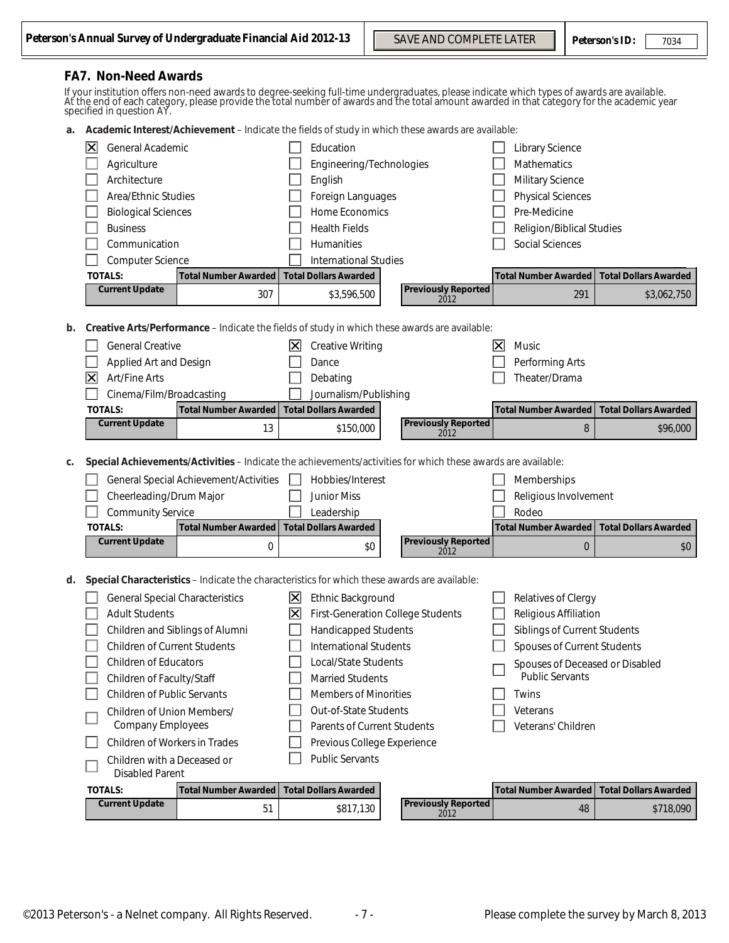#### **FA7. Non-Need Awards**

If your institution offers non-need awards to degree-seeking full-time undergraduates, please indicate which types of awards are available.<br>At the end of each category, please provide the total number of awards and the tot

 **a. Academic Interest/Achievement** – Indicate the fields of study in which these awards are available:

|    | General Academic<br> X <br>Agriculture<br>Architecture<br>Area/Ethnic Studies<br><b>Biological Sciences</b><br><b>Business</b><br>Communication<br>Computer Science<br><b>TOTALS:</b>                                                                                                                                                                         | <b>Total Number Awarded</b>                                                                                                                                                                |                                         | Education<br>Engineering/Technologies<br>English<br>Foreign Languages<br><b>Home Economics</b><br><b>Health Fields</b><br>Humanities<br><b>International Studies</b><br><b>Total Dollars Awarded</b>                                                                                                                              |                                    |                          | <b>Library Science</b><br>Mathematics<br><b>Military Science</b><br><b>Physical Sciences</b><br>Pre-Medicine<br><b>Religion/Biblical Studies</b><br><b>Social Sciences</b><br><b>Total Number Awarded</b>                  | <b>Total Dollars Awarded</b>             |
|----|---------------------------------------------------------------------------------------------------------------------------------------------------------------------------------------------------------------------------------------------------------------------------------------------------------------------------------------------------------------|--------------------------------------------------------------------------------------------------------------------------------------------------------------------------------------------|-----------------------------------------|-----------------------------------------------------------------------------------------------------------------------------------------------------------------------------------------------------------------------------------------------------------------------------------------------------------------------------------|------------------------------------|--------------------------|----------------------------------------------------------------------------------------------------------------------------------------------------------------------------------------------------------------------------|------------------------------------------|
|    | <b>Current Update</b>                                                                                                                                                                                                                                                                                                                                         | 307                                                                                                                                                                                        |                                         | \$3,596,500                                                                                                                                                                                                                                                                                                                       | <b>Previously Reported</b><br>2012 |                          | 291                                                                                                                                                                                                                        | \$3,062,750                              |
| b. | <b>General Creative</b><br>Applied Art and Design<br>$ \mathsf{X} $<br>Art/Fine Arts<br>Cinema/Film/Broadcasting<br><b>TOTALS:</b><br><b>Current Update</b>                                                                                                                                                                                                   | Creative Arts/Performance - Indicate the fields of study in which these awards are available:<br><b>Total Number Awarded</b><br>13                                                         | $\vert \mathsf{X} \vert$                | <b>Creative Writing</b><br>Dance<br>Debating<br>Journalism/Publishing<br><b>Total Dollars Awarded</b><br>\$150,000                                                                                                                                                                                                                | <b>Previously Reported</b>         | $\overline{\bm{\times}}$ | Music<br>Performing Arts<br>Theater/Drama<br><b>Total Number Awarded</b><br>8                                                                                                                                              | <b>Total Dollars Awarded</b><br>\$96,000 |
|    |                                                                                                                                                                                                                                                                                                                                                               |                                                                                                                                                                                            |                                         |                                                                                                                                                                                                                                                                                                                                   | 2012                               |                          |                                                                                                                                                                                                                            |                                          |
| c. | Cheerleading/Drum Major<br><b>Community Service</b><br><b>TOTALS:</b><br><b>Current Update</b>                                                                                                                                                                                                                                                                | Special Achievements/Activities - Indicate the achievements/activities for which these awards are available:<br>General Special Achievement/Activities<br><b>Total Number Awarded</b><br>0 |                                         | Hobbies/Interest<br><b>Junior Miss</b><br>Leadership<br><b>Total Dollars Awarded</b><br>\$0                                                                                                                                                                                                                                       | <b>Previously Reported</b><br>2012 |                          | Memberships<br>Religious Involvement<br>Rodeo<br><b>Total Number Awarded</b><br>$\bf{0}$                                                                                                                                   | <b>Total Dollars Awarded</b><br>\$0      |
| d. | <b>General Special Characteristics</b><br><b>Adult Students</b><br><b>Children of Current Students</b><br><b>Children of Educators</b><br>Children of Faculty/Staff<br><b>Children of Public Servants</b><br>Children of Union Members/<br><b>Company Employees</b><br>Children of Workers in Trades<br>Children with a Deceased or<br><b>Disabled Parent</b> | Special Characteristics - Indicate the characteristics for which these awards are available:<br>Children and Siblings of Alumni                                                            | $\mathbf{X}$<br>$\overline{\mathsf{x}}$ | Ethnic Background<br><b>First-Generation College Students</b><br><b>Handicapped Students</b><br><b>International Students</b><br>Local/State Students<br><b>Married Students</b><br><b>Members of Minorities</b><br>Out-of-State Students<br>Parents of Current Students<br>Previous College Experience<br><b>Public Servants</b> |                                    |                          | <b>Relatives of Clergy</b><br>Religious Affiliation<br>Siblings of Current Students<br>Spouses of Current Students<br>Spouses of Deceased or Disabled<br><b>Public Servants</b><br>Twins<br>Veterans<br>Veterans' Children |                                          |
|    | <b>TOTALS:</b>                                                                                                                                                                                                                                                                                                                                                | <b>Total Number Awarded</b>                                                                                                                                                                |                                         | <b>Total Dollars Awarded</b>                                                                                                                                                                                                                                                                                                      |                                    |                          | <b>Total Number Awarded</b>                                                                                                                                                                                                | <b>Total Dollars Awarded</b>             |
|    | <b>Current Update</b>                                                                                                                                                                                                                                                                                                                                         | 51                                                                                                                                                                                         |                                         | \$817,130                                                                                                                                                                                                                                                                                                                         | <b>Previously Reported</b><br>2012 |                          | 48                                                                                                                                                                                                                         | \$718,090                                |